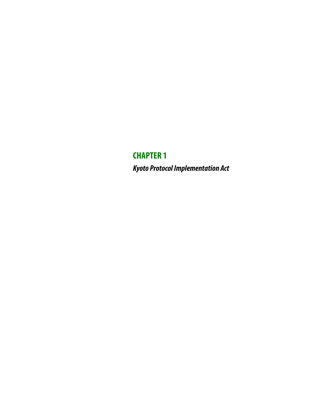**CHAPTER 1 Kyoto Protocol Implementation Act**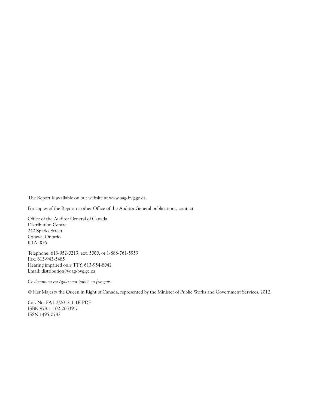The Report is available on our website at www.oag-bvg.gc.ca.

For copies of the Report or other Office of the Auditor General publications, contact

Office of the Auditor General of Canada Distribution Centre 240 Sparks Street Ottawa, Ontario K1A 0G6

Telephone: 613-952-0213, ext. 5000, or 1-888-761-5953 Fax: 613-943-5485 Hearing impaired only TTY: 613-954-8042 Email: distribution@oag-bvg.gc.ca

*Ce document est également publié en français.*

© Her Majesty the Queen in Right of Canada, represented by the Minister of Public Works and Government Services, 2012.

Cat. No. FA1-2/2012-1-1E-PDF ISBN 978-1-100-20539-7 ISSN 1495-0782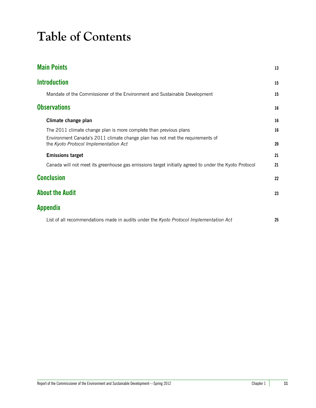# **Table of Contents**

| <b>Main Points</b>                                                                                                     | 13 |
|------------------------------------------------------------------------------------------------------------------------|----|
| <b>Introduction</b>                                                                                                    | 15 |
| Mandate of the Commissioner of the Environment and Sustainable Development                                             | 15 |
| <b>Observations</b>                                                                                                    | 16 |
| Climate change plan                                                                                                    | 16 |
| The 2011 climate change plan is more complete than previous plans                                                      | 16 |
| Environment Canada's 2011 climate change plan has not met the requirements of<br>the Kyoto Protocol Implementation Act | 20 |
| <b>Emissions target</b>                                                                                                | 21 |
| Canada will not meet its greenhouse gas emissions target initially agreed to under the Kyoto Protocol                  | 21 |
| <b>Conclusion</b>                                                                                                      | 22 |
| <b>About the Audit</b>                                                                                                 | 23 |
| <b>Appendix</b>                                                                                                        |    |
| List of all recommendations made in audits under the Kyoto Protocol Implementation Act                                 | 25 |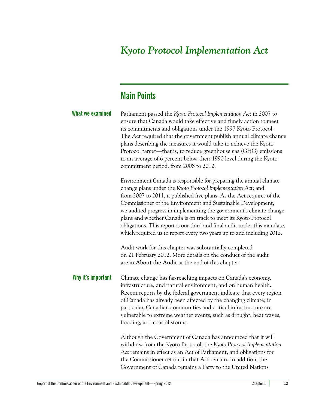# *Kyoto Protocol Implementation Act*

# <span id="page-4-0"></span>**Main Points**

| What we examined   | Parliament passed the Kyoto Protocol Implementation Act in 2007 to<br>ensure that Canada would take effective and timely action to meet<br>its commitments and obligations under the 1997 Kyoto Protocol.<br>The Act required that the government publish annual climate change<br>plans describing the measures it would take to achieve the Kyoto<br>Protocol target—that is, to reduce greenhouse gas (GHG) emissions<br>to an average of 6 percent below their 1990 level during the Kyoto<br>commitment period, from 2008 to 2012.                                                                                                                                                                                                                         |
|--------------------|-----------------------------------------------------------------------------------------------------------------------------------------------------------------------------------------------------------------------------------------------------------------------------------------------------------------------------------------------------------------------------------------------------------------------------------------------------------------------------------------------------------------------------------------------------------------------------------------------------------------------------------------------------------------------------------------------------------------------------------------------------------------|
|                    | Environment Canada is responsible for preparing the annual climate<br>change plans under the Kyoto Protocol Implementation Act; and<br>from 2007 to 2011, it published five plans. As the Act requires of the<br>Commissioner of the Environment and Sustainable Development,<br>we audited progress in implementing the government's climate change<br>plans and whether Canada is on track to meet its Kyoto Protocol<br>obligations. This report is our third and final audit under this mandate,<br>which required us to report every two years up to and including 2012.<br>Audit work for this chapter was substantially completed<br>on 21 February 2012. More details on the conduct of the audit<br>are in About the Audit at the end of this chapter. |
| Why it's important | Climate change has far-reaching impacts on Canada's economy,<br>infrastructure, and natural environment, and on human health.<br>Recent reports by the federal government indicate that every region<br>of Canada has already been affected by the changing climate; in<br>particular, Canadian communities and critical infrastructure are<br>vulnerable to extreme weather events, such as drought, heat waves,<br>flooding, and coastal storms.                                                                                                                                                                                                                                                                                                              |
|                    | Although the Government of Canada has announced that it will<br>withdraw from the Kyoto Protocol, the Kyoto Protocol Implementation<br>Act remains in effect as an Act of Parliament, and obligations for<br>the Commissioner set out in that Act remain. In addition, the                                                                                                                                                                                                                                                                                                                                                                                                                                                                                      |

Government of Canada remains a Party to the United Nations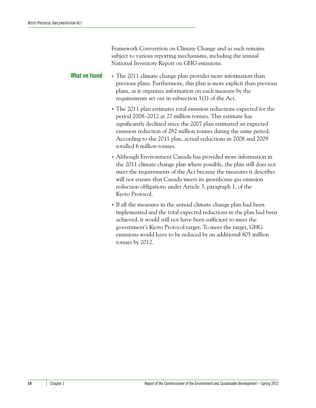Framework Convention on Climate Change and as such remains subject to various reporting mechanisms, including the annual National Inventory Report on GHG emissions.

**What we found** • The 2011 climate change plan provides more information than previous plans. Furthermore, this plan is more explicit than previous plans, as it organizes information on each measure by the requirements set out in subsection 5(1) of the Act.

> **•** The 2011 plan estimates total emission reductions expected for the period 2008–2012 at 27 million tonnes. This estimate has significantly declined since the 2007 plan estimated an expected emission reduction of 282 million tonnes during the same period. According to the 2011 plan, actual reductions in 2008 and 2009 totalled 6 million tonnes.

- **•** Although Environment Canada has provided more information in the 2011 climate change plan where possible, the plan still does not meet the requirements of the Act because the measures it describes will not ensure that Canada meets its greenhouse gas emission reduction obligations under Article 3, paragraph 1, of the Kyoto Protocol.
- **•** If all the measures in the annual climate change plan had been implemented and the total expected reductions in the plan had been achieved, it would still not have been sufficient to meet the government's Kyoto Protocol target. To meet the target, GHG emissions would have to be reduced by an additional 805 million tonnes by 2012.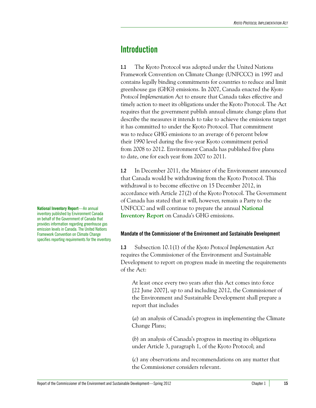### <span id="page-6-0"></span>**Introduction**

**1.1** The Kyoto Protocol was adopted under the United Nations Framework Convention on Climate Change (UNFCCC) in 1997 and contains legally binding commitments for countries to reduce and limit greenhouse gas (GHG) emissions. In 2007, Canada enacted the *Kyoto Protocol Implementation Act* to ensure that Canada takes effective and timely action to meet its obligations under the Kyoto Protocol. The Act requires that the government publish annual climate change plans that describe the measures it intends to take to achieve the emissions target it has committed to under the Kyoto Protocol. That commitment was to reduce GHG emissions to an average of 6 percent below their 1990 level during the five-year Kyoto commitment period from 2008 to 2012. Environment Canada has published five plans to date, one for each year from 2007 to 2011.

**1.2** In December 2011, the Minister of the Environment announced that Canada would be withdrawing from the Kyoto Protocol. This withdrawal is to become effective on 15 December 2012, in accordance with Article 27(2) of the Kyoto Protocol. The Government of Canada has stated that it will, however, remain a Party to the UNFCCC and will continue to prepare the annual **National Inventory Report** on Canada's GHG emissions.

#### <span id="page-6-1"></span>**Mandate of the Commissioner of the Environment and Sustainable Development**

**1.3** Subsection 10.1(1) of the *Kyoto Protocol Implementation Act* requires the Commissioner of the Environment and Sustainable Development to report on progress made in meeting the requirements of the Act:

At least once every two years after this Act comes into force [22 June 2007], up to and including 2012, the Commissioner of the Environment and Sustainable Development shall prepare a report that includes

(*a*) an analysis of Canada's progress in implementing the Climate Change Plans;

(*b*) an analysis of Canada's progress in meeting its obligations under Article 3, paragraph 1, of the Kyoto Protocol; and

(*c*) any observations and recommendations on any matter that the Commissioner considers relevant.

**National Inventory Report**—An annual inventory published by Environment Canada on behalf of the Government of Canada that provides information regarding greenhouse gas emission levels in Canada. The United Nations Framework Convention on Climate Change specifies reporting requirements for the inventory.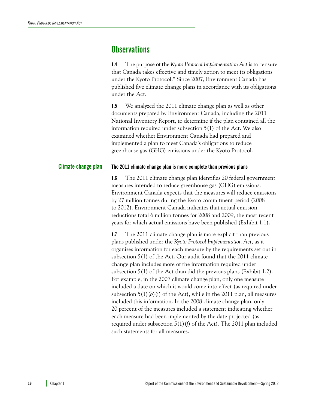### <span id="page-7-0"></span>**Observations**

**1.4** The purpose of the *Kyoto Protocol Implementation Act* is to "ensure that Canada takes effective and timely action to meet its obligations under the Kyoto Protocol." Since 2007, Environment Canada has published five climate change plans in accordance with its obligations under the Act.

**1.5** We analyzed the 2011 climate change plan as well as other documents prepared by Environment Canada, including the 2011 National Inventory Report, to determine if the plan contained all the information required under subsection 5(1) of the Act. We also examined whether Environment Canada had prepared and implemented a plan to meet Canada's obligations to reduce greenhouse gas (GHG) emissions under the Kyoto Protocol.

#### <span id="page-7-1"></span>**Climate change plan The 2011 climate change plan is more complete than previous plans**

<span id="page-7-2"></span>**1.6** The 2011 climate change plan identifies 20 federal government measures intended to reduce greenhouse gas (GHG) emissions. Environment Canada expects that the measures will reduce emissions by 27 million tonnes during the Kyoto commitment period (2008 to 2012). Environment Canada indicates that actual emission reductions total 6 million tonnes for 2008 and 2009, the most recent years for which actual emissions have been published (Exhibit 1.1).

**1.7** The 2011 climate change plan is more explicit than previous plans published under the *Kyoto Protocol Implementation Act*, as it organizes information for each measure by the requirements set out in subsection 5(1) of the Act. Our audit found that the 2011 climate change plan includes more of the information required under subsection 5(1) of the Act than did the previous plans (Exhibit 1.2). For example, in the 2007 climate change plan, only one measure included a date on which it would come into effect (as required under subsection  $5(1)(b)(i)$  of the Act), while in the 2011 plan, all measures included this information. In the 2008 climate change plan, only 20 percent of the measures included a statement indicating whether each measure had been implemented by the date projected (as required under subsection 5(1)(*f*) of the Act). The 2011 plan included such statements for all measures.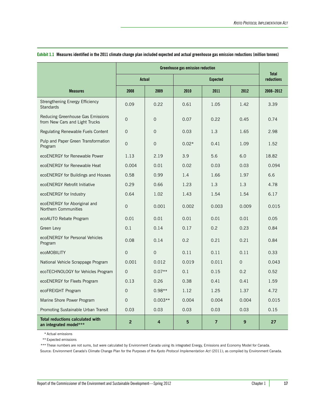|                                                                     | <b>Greenhouse gas emission reduction</b> |             |               |                 |          |                            |
|---------------------------------------------------------------------|------------------------------------------|-------------|---------------|-----------------|----------|----------------------------|
|                                                                     | Actual                                   |             |               | <b>Expected</b> |          | Total<br><b>reductions</b> |
| <b>Measures</b>                                                     | 2008                                     | 2009        | 2010          | 2011            | 2012     | 2008-2012                  |
| Strengthening Energy Efficiency<br><b>Standards</b>                 | 0.09                                     | 0.22        | 0.61          | 1.05            | 1.42     | 3.39                       |
| Reducing Greenhouse Gas Emissions<br>from New Cars and Light Trucks | $\mathbf 0$                              | $\mathbf 0$ | 0.07          | 0.22            | 0.45     | 0.74                       |
| Regulating Renewable Fuels Content                                  | $\mathbf 0$                              | $\Omega$    | 0.03          | 1.3             | 1.65     | 2.98                       |
| Pulp and Paper Green Transformation<br>Program                      | $\overline{0}$                           | $\Omega$    | $0.02*$       | 0.41            | 1.09     | 1.52                       |
| ecoENERGY for Renewable Power                                       | 1.13                                     | 2.19        | 3.9           | 5.6             | 6.0      | 18.82                      |
| ecoENERGY for Renewable Heat                                        | 0.004                                    | 0.01        | 0.02          | 0.03            | 0.03     | 0.094                      |
| ecoENERGY for Buildings and Houses                                  | 0.58                                     | 0.99        | 1.4           | 1.66            | 1.97     | 6.6                        |
| ecoENERGY Retrofit Initiative                                       | 0.29                                     | 0.66        | 1.23          | 1.3             | 1.3      | 4.78                       |
| ecoENERGY for Industry                                              | 0.64                                     | 1.02        | 1.43          | 1.54            | 1.54     | 6.17                       |
| ecoENERGY for Aboriginal and<br>Northern Communities                | $\mathsf{O}\xspace$                      | 0.001       | 0.002         | 0.003           | 0.009    | 0.015                      |
| ecoAUTO Rebate Program                                              | 0.01                                     | 0.01        | 0.01          | 0.01            | 0.01     | 0.05                       |
| Green Levy                                                          | 0.1                                      | 0.14        | 0.17          | 0.2             | 0.23     | 0.84                       |
| ecoENERGY for Personal Vehicles<br>Program                          | 0.08                                     | 0.14        | $0.2^{\circ}$ | 0.21            | 0.21     | 0.84                       |
| ecoMOBILITY                                                         | $\mathbf 0$                              | $\Omega$    | 0.11          | 0.11            | 0.11     | 0.33                       |
| National Vehicle Scrappage Program                                  | 0.001                                    | 0.012       | 0.019         | 0.011           | $\Omega$ | 0.043                      |
| ecoTECHNOLOGY for Vehicles Program                                  | $\Omega$                                 | $0.07**$    | 0.1           | 0.15            | 0.2      | 0.52                       |
| ecoENERGY for Fleets Program                                        | 0.13                                     | 0.26        | 0.38          | 0.41            | 0.41     | 1.59                       |
| ecoFREIGHT Program                                                  | $\Omega$                                 | $0.98**$    | 1.12          | 1.25            | 1.37     | 4.72                       |
| Marine Shore Power Program                                          | $\Omega$                                 | $0.003**$   | 0.004         | 0.004           | 0.004    | 0.015                      |
| Promoting Sustainable Urban Transit                                 | 0.03                                     | 0.03        | 0.03          | 0.03            | 0.03     | 0.15                       |
| <b>Total reductions calculated with</b><br>an integrated model***   | $\overline{2}$                           | 4           | 5             | $\overline{7}$  | 9        | 27                         |

#### **Exhibit 1.1 Measures identified in the 2011 climate change plan included expected and actual greenhouse gas emission reductions (million tonnes)**

\* Actual emissions

\*\* Expected emissions

\*\*\* These numbers are not sums, but were calculated by Environment Canada using its integrated Energy, Emissions and Economy Model for Canada. Source: Environment Canada's Climate Change Plan for the Purposes of the *Kyoto Protocol Implementation Act* (2011); as compiled by Environment Canada.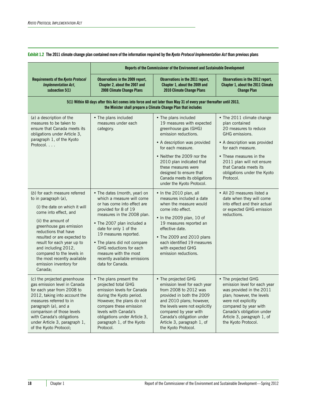**Exhibit 1.2 The 2011 climate change plan contained more of the information required by the** *Kyoto Protocol Implementation Act* **than previous plans**

|                                                                                                                                                                                                                                                                                                                                                                               | Reports of the Commissioner of the Environment and Sustainable Development                                                                                                                                                                                                                                                                                             |                                                                                                                                                                                                                                                                                                                                 |                                                                                                                                                                                                                                                                          |
|-------------------------------------------------------------------------------------------------------------------------------------------------------------------------------------------------------------------------------------------------------------------------------------------------------------------------------------------------------------------------------|------------------------------------------------------------------------------------------------------------------------------------------------------------------------------------------------------------------------------------------------------------------------------------------------------------------------------------------------------------------------|---------------------------------------------------------------------------------------------------------------------------------------------------------------------------------------------------------------------------------------------------------------------------------------------------------------------------------|--------------------------------------------------------------------------------------------------------------------------------------------------------------------------------------------------------------------------------------------------------------------------|
| Requirements of the Kyoto Protocol<br><b>Implementation Act,</b><br>subsection 5(1)                                                                                                                                                                                                                                                                                           | Observations in the 2009 report,<br>Chapter 2, about the 2007 and<br>2008 Climate Change Plans                                                                                                                                                                                                                                                                         | Observations in the 2011 report,<br>Chapter 1, about the 2009 and<br>2010 Climate Change Plans                                                                                                                                                                                                                                  | Observations in the 2012 report,<br>Chapter 1, about the 2011 Climate<br><b>Change Plan</b>                                                                                                                                                                              |
|                                                                                                                                                                                                                                                                                                                                                                               | 5(1) Within 60 days after this Act comes into force and not later than May 31 of every year thereafter until 2013,                                                                                                                                                                                                                                                     | the Minister shall prepare a Climate Change Plan that includes                                                                                                                                                                                                                                                                  |                                                                                                                                                                                                                                                                          |
| (a) a description of the<br>measures to be taken to<br>ensure that Canada meets its<br>obligations under Article 3,<br>paragraph 1, of the Kyoto<br>Protocol.                                                                                                                                                                                                                 | • The plans included<br>measures under each<br>category.                                                                                                                                                                                                                                                                                                               | • The plans included<br>19 measures with expected<br>greenhouse gas (GHG)<br>emission reductions.<br>• A description was provided<br>for each measure.<br>• Neither the 2009 nor the<br>2010 plan indicated that<br>these measures were<br>designed to ensure that<br>Canada meets its obligations<br>under the Kyoto Protocol. | • The 2011 climate change<br>plan contained<br>20 measures to reduce<br>GHG emissions.<br>• A description was provided<br>for each measure.<br>• These measures in the<br>2011 plan will not ensure<br>that Canada meets its<br>obligations under the Kyoto<br>Protocol. |
| (b) for each measure referred<br>to in paragraph (a),<br>(i) the date on which it will<br>come into effect, and<br>(ii) the amount of<br>greenhouse gas emission<br>reductions that have<br>resulted or are expected to<br>result for each year up to<br>and including 2012,<br>compared to the levels in<br>the most recently available<br>emission inventory for<br>Canada; | • The dates (month, year) on<br>which a measure will come<br>or has come into effect are<br>provided for 8 of 19<br>measures in the 2008 plan.<br>• The 2007 plan included a<br>date for only 1 of the<br>19 measures reported.<br>• The plans did not compare<br>GHG reductions for each<br>measure with the most<br>recently available emissions<br>data for Canada. | • In the 2010 plan, all<br>measures included a date<br>when the measure would<br>come into effect.<br>• In the 2009 plan, 10 of<br>19 measures reported an<br>effective date.<br>• The 2009 and 2010 plans<br>each identified 19 measures<br>with expected GHG<br>emission reductions.                                          | • All 20 measures listed a<br>date when they will come<br>into effect and their actual<br>or expected GHG emission<br>reductions.                                                                                                                                        |
| (c) the projected greenhouse<br>gas emission level in Canada<br>for each year from 2008 to<br>2012, taking into account the<br>measures referred to in<br>paragraph $(a)$ , and a<br>comparison of those levels<br>with Canada's obligations<br>under Article 3, paragraph 1,<br>of the Kyoto Protocol;                                                                       | • The plans present the<br>projected total GHG<br>emission levels for Canada<br>during the Kyoto period.<br>However, the plans do not<br>compare these emission<br>levels with Canada's<br>obligations under Article 3,<br>paragraph 1, of the Kyoto<br>Protocol.                                                                                                      | • The projected GHG<br>emission level for each year<br>from 2008 to 2012 was<br>provided in both the 2009<br>and 2010 plans; however,<br>the levels were not explicitly<br>compared by year with<br>Canada's obligation under<br>Article 3, paragraph 1, of<br>the Kyoto Protocol.                                              | • The projected GHG<br>emission level for each year<br>was provided in the 2011<br>plan; however, the levels<br>were not explicitly<br>compared by year with<br>Canada's obligation under<br>Article 3, paragraph 1, of<br>the Kyoto Protocol.                           |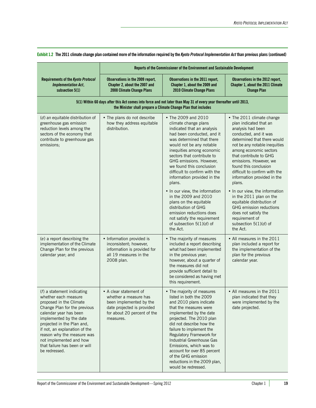|                                                                                                                                                                                                                                                                                                                                                | Reports of the Commissioner of the Environment and Sustainable Development                                                                           |                                                                                                                                                                                                                                                                                                                                                                                                                                                                                                                                                                              |                                                                                                                                                                                                                                                                                                                                                                                                                                                                                                                                                          |  |
|------------------------------------------------------------------------------------------------------------------------------------------------------------------------------------------------------------------------------------------------------------------------------------------------------------------------------------------------|------------------------------------------------------------------------------------------------------------------------------------------------------|------------------------------------------------------------------------------------------------------------------------------------------------------------------------------------------------------------------------------------------------------------------------------------------------------------------------------------------------------------------------------------------------------------------------------------------------------------------------------------------------------------------------------------------------------------------------------|----------------------------------------------------------------------------------------------------------------------------------------------------------------------------------------------------------------------------------------------------------------------------------------------------------------------------------------------------------------------------------------------------------------------------------------------------------------------------------------------------------------------------------------------------------|--|
| <b>Requirements of the Kyoto Protocol</b><br>Implementation Act,<br>subsection 5(1)                                                                                                                                                                                                                                                            | Observations in the 2009 report,<br>Chapter 2, about the 2007 and<br>2008 Climate Change Plans                                                       | Observations in the 2011 report,<br>Chapter 1, about the 2009 and<br>2010 Climate Change Plans                                                                                                                                                                                                                                                                                                                                                                                                                                                                               | Observations in the 2012 report,<br>Chapter 1, about the 2011 Climate<br><b>Change Plan</b>                                                                                                                                                                                                                                                                                                                                                                                                                                                              |  |
|                                                                                                                                                                                                                                                                                                                                                |                                                                                                                                                      | 5(1) Within 60 days after this Act comes into force and not later than May 31 of every year thereafter until 2013,<br>the Minister shall prepare a Climate Change Plan that includes                                                                                                                                                                                                                                                                                                                                                                                         |                                                                                                                                                                                                                                                                                                                                                                                                                                                                                                                                                          |  |
| (d) an equitable distribution of<br>greenhouse gas emission<br>reduction levels among the<br>sectors of the economy that<br>contribute to greenhouse gas<br>emissions;                                                                                                                                                                         | • The plans do not describe<br>how they address equitable<br>distribution.                                                                           | • The 2009 and 2010<br>climate change plans<br>indicated that an analysis<br>had been conducted, and it<br>was determined that there<br>would not be any notable<br>inequities among economic<br>sectors that contribute to<br>GHG emissions. However,<br>we found this conclusion<br>difficult to confirm with the<br>information provided in the<br>plans.<br>• In our view, the information<br>in the 2009 and 2010<br>plans on the equitable<br>distribution of GHG<br>emission reductions does<br>not satisfy the requirement<br>of subsection $5(1)(d)$ of<br>the Act. | • The 2011 climate change<br>plan indicated that an<br>analysis had been<br>conducted, and it was<br>determined that there would<br>not be any notable inequities<br>among economic sectors<br>that contribute to GHG<br>emissions. However, we<br>found this conclusion<br>difficult to confirm with the<br>information provided in the<br>plans.<br>• In our view, the information<br>in the 2011 plan on the<br>equitable distribution of<br>GHG emission reductions<br>does not satisfy the<br>requirement of<br>subsection $5(1)(d)$ of<br>the Act. |  |
| (e) a report describing the<br>implementation of the Climate<br>Change Plan for the previous<br>calendar year; and                                                                                                                                                                                                                             | • Information provided is<br>inconsistent; however,<br>information is provided for<br>all 19 measures in the<br>2008 plan.                           | • The majority of measures<br>included a report describing<br>what had been implemented<br>in the previous year;<br>however, about a quarter of<br>the measures did not<br>provide sufficient detail to<br>be considered as having met<br>this requirement.                                                                                                                                                                                                                                                                                                                  | • All measures in the 2011<br>plan included a report for<br>the implementation of the<br>plan for the previous<br>calendar year.                                                                                                                                                                                                                                                                                                                                                                                                                         |  |
| $(f)$ a statement indicating<br>whether each measure<br>proposed in the Climate<br>Change Plan for the previous<br>calendar year has been<br>implemented by the date<br>projected in the Plan and,<br>if not, an explanation of the<br>reason why the measure was<br>not implemented and how<br>that failure has been or will<br>be redressed. | • A clear statement of<br>whether a measure has<br>been implemented by the<br>date projected is provided<br>for about 20 percent of the<br>measures. | • The majority of measures<br>listed in both the 2009<br>and 2010 plans indicate<br>that the measures were<br>implemented by the date<br>projected. The 2010 plan<br>did not describe how the<br>failure to implement the<br>Regulatory Framework for<br>Industrial Greenhouse Gas<br>Emissions, which was to<br>account for over 85 percent<br>of the GHG emission<br>reductions in the 2009 plan,<br>would be redressed.                                                                                                                                                   | • All measures in the 2011<br>plan indicated that they<br>were implemented by the<br>date projected.                                                                                                                                                                                                                                                                                                                                                                                                                                                     |  |

**Exhibit 1.2 The 2011 climate change plan contained more of the information required by the** *Kyoto Protocol Implementation Act* **than previous plans (continued)**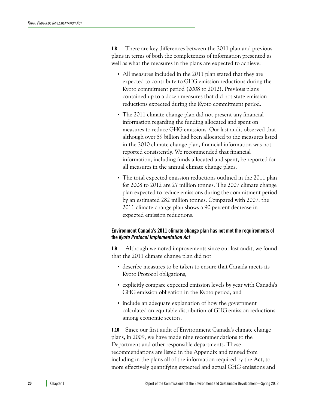**1.8** There are key differences between the 2011 plan and previous plans in terms of both the completeness of information presented as well as what the measures in the plans are expected to achieve:

- **•** All measures included in the 2011 plan stated that they are expected to contribute to GHG emission reductions during the Kyoto commitment period (2008 to 2012). Previous plans contained up to a dozen measures that did not state emission reductions expected during the Kyoto commitment period.
- **•** The 2011 climate change plan did not present any financial information regarding the funding allocated and spent on measures to reduce GHG emissions. Our last audit observed that although over \$9 billion had been allocated to the measures listed in the 2010 climate change plan, financial information was not reported consistently. We recommended that financial information, including funds allocated and spent, be reported for all measures in the annual climate change plans.
- **•** The total expected emission reductions outlined in the 2011 plan for 2008 to 2012 are 27 million tonnes. The 2007 climate change plan expected to reduce emissions during the commitment period by an estimated 282 million tonnes. Compared with 2007, the 2011 climate change plan shows a 90 percent decrease in expected emission reductions.

#### <span id="page-11-0"></span>**Environment Canada's 2011 climate change plan has not met the requirements of the** *Kyoto Protocol Implementation Act*

**1.9** Although we noted improvements since our last audit, we found that the 2011 climate change plan did not

- **•** describe measures to be taken to ensure that Canada meets its Kyoto Protocol obligations,
- **•** explicitly compare expected emission levels by year with Canada's GHG emission obligation in the Kyoto period, and
- **•** include an adequate explanation of how the government calculated an equitable distribution of GHG emission reductions among economic sectors.

**1.10** Since our first audit of Environment Canada's climate change plans, in 2009, we have made nine recommendations to the Department and other responsible departments. These recommendations are listed in the Appendix and ranged from including in the plans all of the information required by the Act, to more effectively quantifying expected and actual GHG emissions and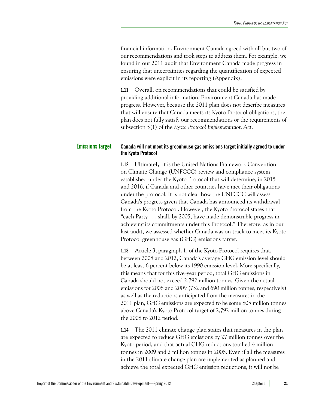financial information. Environment Canada agreed with all but two of our recommendations and took steps to address them. For example, we found in our 2011 audit that Environment Canada made progress in ensuring that uncertainties regarding the quantification of expected emissions were explicit in its reporting (Appendix).

**1.11** Overall, on recommendations that could be satisfied by providing additional information, Environment Canada has made progress. However, because the 2011 plan does not describe measures that will ensure that Canada meets its Kyoto Protocol obligations, the plan does not fully satisfy our recommendations or the requirements of subsection 5(1) of the *Kyoto Protocol Implementation Act*.

#### <span id="page-12-0"></span>**Emissions target Canada will not meet its greenhouse gas emissions target initially agreed to under the Kyoto Protocol**

<span id="page-12-1"></span>**1.12** Ultimately, it is the United Nations Framework Convention on Climate Change (UNFCCC) review and compliance system established under the Kyoto Protocol that will determine, in 2015 and 2016, if Canada and other countries have met their obligations under the protocol. It is not clear how the UNFCCC will assess Canada's progress given that Canada has announced its withdrawal from the Kyoto Protocol. However, the Kyoto Protocol states that "each Party . . . shall, by 2005, have made demonstrable progress in achieving its commitments under this Protocol." Therefore, as in our last audit, we assessed whether Canada was on track to meet its Kyoto Protocol greenhouse gas (GHG) emissions target.

**1.13** Article 3, paragraph 1, of the Kyoto Protocol requires that, between 2008 and 2012, Canada's average GHG emission level should be at least 6 percent below its 1990 emission level. More specifically, this means that for this five-year period, total GHG emissions in Canada should not exceed 2,792 million tonnes. Given the actual emissions for 2008 and 2009 (732 and 690 million tonnes, respectively) as well as the reductions anticipated from the measures in the 2011 plan, GHG emissions are expected to be some 805 million tonnes above Canada's Kyoto Protocol target of 2,792 million tonnes during the 2008 to 2012 period.

**1.14** The 2011 climate change plan states that measures in the plan are expected to reduce GHG emissions by 27 million tonnes over the Kyoto period, and that actual GHG reductions totalled 4 million tonnes in 2009 and 2 million tonnes in 2008. Even if all the measures in the 2011 climate change plan are implemented as planned and achieve the total expected GHG emission reductions, it will not be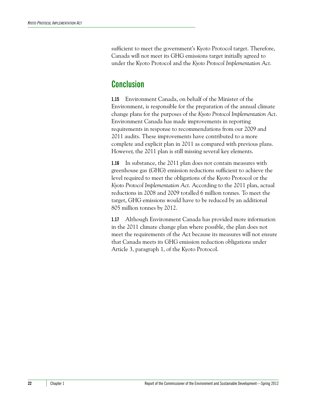sufficient to meet the government's Kyoto Protocol target. Therefore, Canada will not meet its GHG emissions target initially agreed to under the Kyoto Protocol and the *Kyoto Protocol Implementation Act*.

# <span id="page-13-0"></span>**Conclusion**

**1.15** Environment Canada, on behalf of the Minister of the Environment, is responsible for the preparation of the annual climate change plans for the purposes of the *Kyoto Protocol Implementation Act*. Environment Canada has made improvements in reporting requirements in response to recommendations from our 2009 and 2011 audits. These improvements have contributed to a more complete and explicit plan in 2011 as compared with previous plans. However, the 2011 plan is still missing several key elements.

**1.16** In substance, the 2011 plan does not contain measures with greenhouse gas (GHG) emission reductions sufficient to achieve the level required to meet the obligations of the Kyoto Protocol or the *Kyoto Protocol Implementation Act*. According to the 2011 plan, actual reductions in 2008 and 2009 totalled 6 million tonnes. To meet the target, GHG emissions would have to be reduced by an additional 805 million tonnes by 2012.

**1.17** Although Environment Canada has provided more information in the 2011 climate change plan where possible, the plan does not meet the requirements of the Act because its measures will not ensure that Canada meets its GHG emission reduction obligations under Article 3, paragraph 1, of the Kyoto Protocol.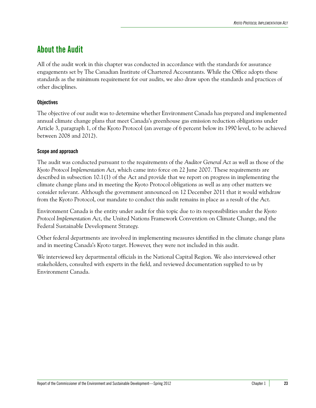# <span id="page-14-0"></span>**About the Audit**

All of the audit work in this chapter was conducted in accordance with the standards for assurance engagements set by The Canadian Institute of Chartered Accountants. While the Office adopts these standards as the minimum requirement for our audits, we also draw upon the standards and practices of other disciplines.

#### **Objectives**

The objective of our audit was to determine whether Environment Canada has prepared and implemented annual climate change plans that meet Canada's greenhouse gas emission reduction obligations under Article 3, paragraph 1, of the Kyoto Protocol (an average of 6 percent below its 1990 level, to be achieved between 2008 and 2012).

#### **Scope and approach**

The audit was conducted pursuant to the requirements of the *Auditor General Act* as well as those of the *Kyoto Protocol Implementation Act*, which came into force on 22 June 2007. These requirements are described in subsection 10.1(1) of the Act and provide that we report on progress in implementing the climate change plans and in meeting the Kyoto Protocol obligations as well as any other matters we consider relevant. Although the government announced on 12 December 2011 that it would withdraw from the Kyoto Protocol, our mandate to conduct this audit remains in place as a result of the Act.

Environment Canada is the entity under audit for this topic due to its responsibilities under the *Kyoto Protocol Implementation Act*, the United Nations Framework Convention on Climate Change, and the Federal Sustainable Development Strategy.

Other federal departments are involved in implementing measures identified in the climate change plans and in meeting Canada's Kyoto target. However, they were not included in this audit.

We interviewed key departmental officials in the National Capital Region. We also interviewed other stakeholders, consulted with experts in the field, and reviewed documentation supplied to us by Environment Canada.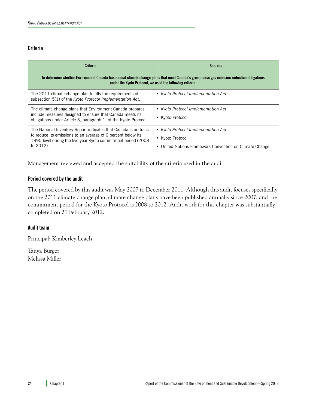#### **Criteria**

| <b>Criteria</b>                                                                                                                                                                                                | <b>Sources</b>                                                                                                        |  |
|----------------------------------------------------------------------------------------------------------------------------------------------------------------------------------------------------------------|-----------------------------------------------------------------------------------------------------------------------|--|
| To determine whether Environment Canada has annual climate change plans that meet Canada's greenhouse gas emission reduction obligations<br>under the Kyoto Protocol, we used the following criteria:          |                                                                                                                       |  |
| The 2011 climate change plan fulfills the requirements of<br>subsection 5(1) of the Kyoto Protocol Implementation Act.                                                                                         | • Kyoto Protocol Implementation Act                                                                                   |  |
| The climate change plans that Environment Canada prepares<br>include measures designed to ensure that Canada meets its<br>obligations under Article 3, paragraph 1, of the Kyoto Protocol.                     | • Kyoto Protocol Implementation Act<br>• Kyoto Protocol                                                               |  |
| The National Inventory Report indicates that Canada is on track<br>to reduce its emissions to an average of 6 percent below its<br>1990 level during the five-year Kyoto commitment period (2008)<br>to 2012). | • Kyoto Protocol Implementation Act<br>• Kyoto Protocol<br>United Nations Framework Convention on Climate Change<br>٠ |  |

Management reviewed and accepted the suitability of the criteria used in the audit.

#### **Period covered by the audit**

The period covered by this audit was May 2007 to December 2011. Although this audit focuses specifically on the 2011 climate change plan, climate change plans have been published annually since 2007, and the commitment period for the Kyoto Protocol is 2008 to 2012. Audit work for this chapter was substantially completed on 21 February 2012.

#### **Audit team**

Principal: Kimberley Leach

Tanya Burger Melissa Miller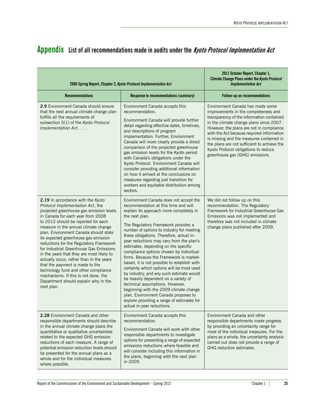<span id="page-16-1"></span><span id="page-16-0"></span>

|  | Appendix List of all recommendations made in audits under the <i>Kyoto Protocol Implementation Act</i> |  |  |  |
|--|--------------------------------------------------------------------------------------------------------|--|--|--|
|--|--------------------------------------------------------------------------------------------------------|--|--|--|

| 2009 Spring Report, Chapter 2, Kyoto Protocol Implementation Act                                                                                                                                                                                                                                                                                                                                                                                                                                                                                                                                                                                                               | 2011 October Report, Chapter 1,<br><b>Climate Change Plans under the Kyoto Protocol</b><br><b>Implementation Act</b>                                                                                                                                                                                                                                                                                                                                                                                                                                                                                                                                                                                                                                                                                                                   |                                                                                                                                                                                                                                                                                                                                                                                                                                 |
|--------------------------------------------------------------------------------------------------------------------------------------------------------------------------------------------------------------------------------------------------------------------------------------------------------------------------------------------------------------------------------------------------------------------------------------------------------------------------------------------------------------------------------------------------------------------------------------------------------------------------------------------------------------------------------|----------------------------------------------------------------------------------------------------------------------------------------------------------------------------------------------------------------------------------------------------------------------------------------------------------------------------------------------------------------------------------------------------------------------------------------------------------------------------------------------------------------------------------------------------------------------------------------------------------------------------------------------------------------------------------------------------------------------------------------------------------------------------------------------------------------------------------------|---------------------------------------------------------------------------------------------------------------------------------------------------------------------------------------------------------------------------------------------------------------------------------------------------------------------------------------------------------------------------------------------------------------------------------|
| <b>Recommendations</b>                                                                                                                                                                                                                                                                                                                                                                                                                                                                                                                                                                                                                                                         | Response to recommendations (summary)                                                                                                                                                                                                                                                                                                                                                                                                                                                                                                                                                                                                                                                                                                                                                                                                  | Follow-up on recommendations                                                                                                                                                                                                                                                                                                                                                                                                    |
| 2.9 Environment Canada should ensure<br>that the next annual climate change plan<br>fulfills all the requirements of<br>subsection 5(1) of the Kyoto Protocol<br>Implementation Act.                                                                                                                                                                                                                                                                                                                                                                                                                                                                                           | Environment Canada accepts this<br>recommendation.<br>Environment Canada will provide further<br>detail regarding effective dates, timelines,<br>and descriptions of program<br>implementation. Further, Environment<br>Canada will more clearly provide a direct<br>comparison of the projected greenhouse<br>gas emission levels for the Kyoto period<br>with Canada's obligations under the<br>Kyoto Protocol. Environment Canada will<br>consider providing additional information<br>on how it arrived at the conclusions on<br>measures regarding just transition for<br>workers and equitable distribution among<br>sectors.                                                                                                                                                                                                    | Environment Canada has made some<br>improvements in the completeness and<br>transparency of the information contained<br>in the climate change plans since 2007.<br>However, the plans are not in compliance<br>with the Act because required information<br>is missing and the measures contained in<br>the plans are not sufficient to achieve the<br>Kyoto Protocol obligations to reduce<br>greenhouse gas (GHG) emissions. |
| 2.19 In accordance with the Kyoto<br>Protocol Implementation Act, the<br>projected greenhouse gas emission levels<br>in Canada for each year from 2008<br>to 2012 should be reported for each<br>measure in the annual climate change<br>plan. Environment Canada should state<br>its expected greenhouse gas emission<br>reductions for the Regulatory Framework<br>for Industrial Greenhouse Gas Emissions<br>in the years that they are most likely to<br>actually occur, rather than in the years<br>that the payment is made to the<br>technology fund and other compliance<br>mechanisms. If this is not done, the<br>Department should explain why in the<br>next plan. | Environment Canada does not accept the<br>recommendation at this time and will<br>explain its approach more completely in<br>the next plan.<br>The Regulatory Framework provides a<br>number of options to industry for meeting<br>these obligations. Therefore, actual in-<br>year reductions may vary from the plan's<br>estimates, depending on the specific<br>compliance options chosen by individual<br>firms. Because the Framework is market-<br>based, it is not possible to establish with<br>certainty which options will be most used<br>by industry, and any such estimate would<br>be heavily dependent on a variety of<br>technical assumptions. However,<br>beginning with the 2009 climate change<br>plan, Environment Canada proposes to<br>explore providing a range of estimates for<br>actual in-year reductions. | We did not follow up on this<br>recommendation. The Regulatory<br>Framework for Industrial Greenhouse Gas<br>Emissions was not implemented and<br>therefore was not included in climate<br>change plans published after 2009.                                                                                                                                                                                                   |
| 2.28 Environment Canada and other<br>responsible departments should describe<br>in the annual climate change plans the<br>quantitative or qualitative uncertainties<br>related to the expected GHG emission<br>reductions of each measure. A range of<br>potential emission reduction levels should<br>be presented for the annual plans as a<br>whole and for the individual measures<br>where possible.                                                                                                                                                                                                                                                                      | Environment Canada accepts this<br>recommendation.<br>Environment Canada will work with other<br>responsible departments to investigate<br>options for presenting a range of expected<br>emissions reductions where feasible and<br>will consider including this information in<br>the plans, beginning with the next plan<br>in 2009.                                                                                                                                                                                                                                                                                                                                                                                                                                                                                                 | Environment Canada and other<br>responsible departments made progress<br>by providing an uncertainty range for<br>most of the individual measures. For the<br>plans as a whole, the uncertainty analysis<br>carried out does not provide a range of<br>GHG reduction estimates.                                                                                                                                                 |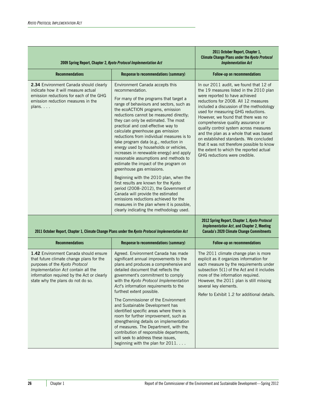| 2009 Spring Report, Chapter 2, Kyoto Protocol Implementation Act                                                                                                                                                                             | 2011 October Report, Chapter 1,<br><b>Climate Change Plans under the Kyoto Protocol</b><br><b>Implementation Act</b>                                                                                                                                                                                                                                                                                                                                                                                                                                                                                                                                                                                                                                                                                                                                                                                                                       |                                                                                                                                                                                                                                                                                                                                                                                                                                                                                                                                                                                    |
|----------------------------------------------------------------------------------------------------------------------------------------------------------------------------------------------------------------------------------------------|--------------------------------------------------------------------------------------------------------------------------------------------------------------------------------------------------------------------------------------------------------------------------------------------------------------------------------------------------------------------------------------------------------------------------------------------------------------------------------------------------------------------------------------------------------------------------------------------------------------------------------------------------------------------------------------------------------------------------------------------------------------------------------------------------------------------------------------------------------------------------------------------------------------------------------------------|------------------------------------------------------------------------------------------------------------------------------------------------------------------------------------------------------------------------------------------------------------------------------------------------------------------------------------------------------------------------------------------------------------------------------------------------------------------------------------------------------------------------------------------------------------------------------------|
| <b>Recommendations</b>                                                                                                                                                                                                                       | Response to recommendations (summary)                                                                                                                                                                                                                                                                                                                                                                                                                                                                                                                                                                                                                                                                                                                                                                                                                                                                                                      | Follow-up on recommendations                                                                                                                                                                                                                                                                                                                                                                                                                                                                                                                                                       |
| 2.34 Environment Canada should clearly<br>indicate how it will measure actual<br>emission reductions for each of the GHG<br>emission reduction measures in the<br>plans. $\ldots$                                                            | Environment Canada accepts this<br>recommendation.<br>For many of the programs that target a<br>range of behaviours and sectors, such as<br>the ecoACTION programs, emission<br>reductions cannot be measured directly;<br>they can only be estimated. The most<br>practical and cost-effective way to<br>calculate greenhouse gas emission<br>reductions from individual measures is to<br>take program data (e.g., reduction in<br>energy used by households or vehicles,<br>increases in renewable energy) and apply<br>reasonable assumptions and methods to<br>estimate the impact of the program on<br>greenhouse gas emissions.<br>Beginning with the 2010 plan, when the<br>first results are known for the Kyoto<br>period (2008-2012), the Government of<br>Canada will provide the estimated<br>emissions reductions achieved for the<br>measures in the plan where it is possible,<br>clearly indicating the methodology used. | In our 2011 audit, we found that 12 of<br>the 19 measures listed in the 2010 plan<br>were reported to have achieved<br>reductions for 2008. All 12 measures<br>included a discussion of the methodology<br>used for measuring GHG reductions.<br>However, we found that there was no<br>comprehensive quality assurance or<br>quality control system across measures<br>and the plan as a whole that was based<br>on established standards. We concluded<br>that it was not therefore possible to know<br>the extent to which the reported actual<br>GHG reductions were credible. |
|                                                                                                                                                                                                                                              | 2011 October Report, Chapter 1, Climate Change Plans under the Kyoto Protocol Implementation Act                                                                                                                                                                                                                                                                                                                                                                                                                                                                                                                                                                                                                                                                                                                                                                                                                                           | 2012 Spring Report, Chapter 1, Kyoto Protocol<br><b>Implementation Act, and Chapter 2, Meeting</b><br><b>Canada's 2020 Climate Change Commitments</b>                                                                                                                                                                                                                                                                                                                                                                                                                              |
| <b>Recommendations</b>                                                                                                                                                                                                                       | Response to recommendations (summary)                                                                                                                                                                                                                                                                                                                                                                                                                                                                                                                                                                                                                                                                                                                                                                                                                                                                                                      | Follow-up on recommendations                                                                                                                                                                                                                                                                                                                                                                                                                                                                                                                                                       |
| 1.42 Environment Canada should ensure<br>that future climate change plans for the<br>purposes of the Kyoto Protocol<br>Implementation Act contain all the<br>information required by the Act or clearly<br>state why the plans do not do so. | Agreed. Environment Canada has made<br>significant annual improvements to the<br>plans and produces a comprehensive and<br>detailed document that reflects the<br>government's commitment to comply<br>with the Kyoto Protocol Implementation<br>Act's information requirements to the<br>furthest extent possible.<br>The Commissioner of the Environment<br>and Sustainable Development has<br>identified specific areas where there is<br>room for further improvement, such as<br>strengthening details on implementation<br>of measures. The Department, with the<br>contribution of responsible departments,<br>will seek to address these issues,<br>beginning with the plan for 2011.                                                                                                                                                                                                                                              | The 2011 climate change plan is more<br>explicit as it organizes information for<br>each measure by the requirements under<br>subsection 5(1) of the Act and it includes<br>more of the information required.<br>However, the 2011 plan is still missing<br>several key elements.<br>Refer to Exhibit 1.2 for additional details.                                                                                                                                                                                                                                                  |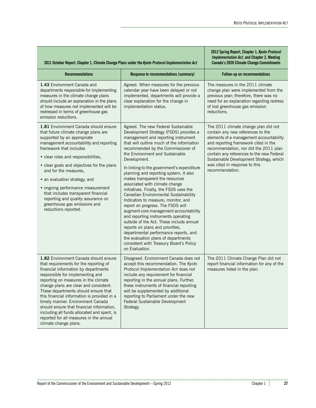**2012 Spring Report, Chapter 1,** *Kyoto Protocol* 

| 2011 October Report, Chapter 1, Climate Change Plans under the Kyoto Protocol Implementation Act                                                                                                                                                                                                                                                                                                                                                                                                                                          | <b>Implementation Act, and Chapter 2, Meeting</b><br><b>Canada's 2020 Climate Change Commitments</b>                                                                                                                                                                                                                                                                                                                                                                                                                                                                                                                                                                                                                                                                                                                                                                                                  |                                                                                                                                                                                                                                                                                                                                                   |
|-------------------------------------------------------------------------------------------------------------------------------------------------------------------------------------------------------------------------------------------------------------------------------------------------------------------------------------------------------------------------------------------------------------------------------------------------------------------------------------------------------------------------------------------|-------------------------------------------------------------------------------------------------------------------------------------------------------------------------------------------------------------------------------------------------------------------------------------------------------------------------------------------------------------------------------------------------------------------------------------------------------------------------------------------------------------------------------------------------------------------------------------------------------------------------------------------------------------------------------------------------------------------------------------------------------------------------------------------------------------------------------------------------------------------------------------------------------|---------------------------------------------------------------------------------------------------------------------------------------------------------------------------------------------------------------------------------------------------------------------------------------------------------------------------------------------------|
| <b>Recommendations</b>                                                                                                                                                                                                                                                                                                                                                                                                                                                                                                                    | <b>Response to recommendations (summary)</b>                                                                                                                                                                                                                                                                                                                                                                                                                                                                                                                                                                                                                                                                                                                                                                                                                                                          | Follow-up on recommendations                                                                                                                                                                                                                                                                                                                      |
| 1.43 Environment Canada and<br>departments responsible for implementing<br>measures in the climate change plans<br>should include an explanation in the plans<br>of how measures not implemented will be<br>redressed in terms of greenhouse gas<br>emission reductions.                                                                                                                                                                                                                                                                  | Agreed. When measures for the previous<br>calendar year have been delayed or not<br>implemented, departments will provide a<br>clear explanation for the change in<br>implementation status.                                                                                                                                                                                                                                                                                                                                                                                                                                                                                                                                                                                                                                                                                                          | The measures in the 2011 climate<br>change plan were implemented from the<br>previous year; therefore, there was no<br>need for an explanation regarding redress<br>of lost greenhouse gas emission<br>reductions.                                                                                                                                |
| 1.81 Environment Canada should ensure<br>that future climate change plans are<br>supported by an appropriate<br>management accountability and reporting<br>framework that includes<br>• clear roles and responsibilities,<br>• clear goals and objectives for the plans<br>and for the measures.<br>• an evaluation strategy, and<br>• ongoing performance measurement<br>that includes transparent financial<br>reporting and quality assurance on<br>greenhouse gas emissions and<br>reductions reported.                               | Agreed. The new Federal Sustainable<br>Development Strategy (FSDS) provides a<br>management and reporting instrument<br>that will outline much of the information<br>recommended by the Commissioner of<br>the Environment and Sustainable<br>Development.<br>In linking to the government's expenditure<br>planning and reporting system, it also<br>makes transparent the resources<br>associated with climate change<br>initiatives. Finally, the FSDS uses the<br>Canadian Environmental Sustainability<br>Indicators to measure, monitor, and<br>report on progress. The FSDS will<br>augment core management accountability<br>and reporting instruments operating<br>outside of the Act. These include annual<br>reports on plans and priorities,<br>departmental performance reports, and<br>the evaluation plans of departments<br>consistent with Treasury Board's Policy<br>on Evaluation. | The 2011 climate change plan did not<br>contain any new references to the<br>elements of a management accountability<br>and reporting framework cited in the<br>recommendation, nor did the 2011 plan<br>contain any references to the new Federal<br>Sustainable Development Strategy, which<br>was cited in response to this<br>recommendation. |
| 1.82 Environment Canada should ensure<br>that requirements for the reporting of<br>financial information by departments<br>responsible for implementing and<br>reporting on measures in the climate<br>change plans are clear and consistent.<br>These departments should ensure that<br>this financial information is provided in a<br>timely manner. Environment Canada<br>should ensure that financial information,<br>including all funds allocated and spent, is<br>reported for all measures in the annual<br>climate change plans. | Disagreed. Environment Canada does not<br>accept this recommendation. The Kyoto<br>Protocol Implementation Act does not<br>include any requirement for financial<br>reporting in the annual plans. Further,<br>these instruments of financial reporting<br>will be supplemented by additional<br>reporting to Parliament under the new<br>Federal Sustainable Development<br>Strategy.                                                                                                                                                                                                                                                                                                                                                                                                                                                                                                                | The 2011 Climate Change Plan did not<br>report financial information for any of the<br>measures listed in the plan.                                                                                                                                                                                                                               |